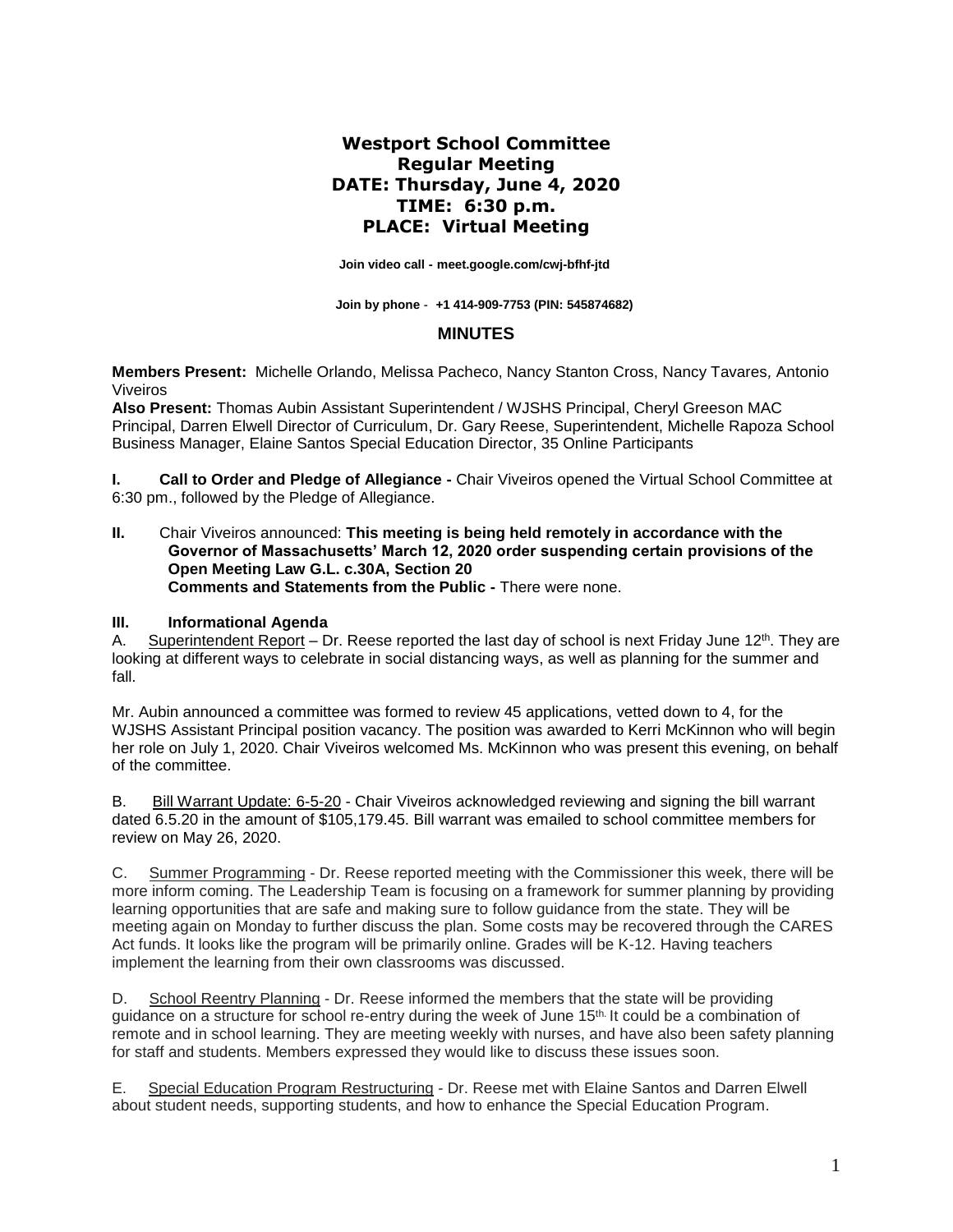# **Westport School Committee Regular Meeting DATE: Thursday, June 4, 2020 TIME: 6:30 p.m. PLACE: Virtual Meeting**

 **Join video call - [meet.google.com/cwj-bfhf-jtd](https://meet.google.com/cwj-bfhf-jtd)**

 **Join by phone - +1 414-909-7753 (PIN: 545874682)**

### **MINUTES**

**Members Present:** Michelle Orlando, Melissa Pacheco, Nancy Stanton Cross, Nancy Tavares*,* Antonio Viveiros

**Also Present:** Thomas Aubin Assistant Superintendent / WJSHS Principal, Cheryl Greeson MAC Principal, Darren Elwell Director of Curriculum, Dr. Gary Reese, Superintendent, Michelle Rapoza School Business Manager, Elaine Santos Special Education Director, 35 Online Participants

**I. Call to Order and Pledge of Allegiance -** Chair Viveiros opened the Virtual School Committee at 6:30 pm., followed by the Pledge of Allegiance.

**II.** Chair Viveiros announced: **This meeting is being held remotely in accordance with the Governor of Massachusetts' March 12, 2020 order suspending certain provisions of the Open Meeting Law G.L. c.30A, Section 20 Comments and Statements from the Public -** There were none.

#### **III. Informational Agenda**

A. Superintendent Report – Dr. Reese reported the last day of school is next Friday June 12th. They are looking at different ways to celebrate in social distancing ways, as well as planning for the summer and fall.

Mr. Aubin announced a committee was formed to review 45 applications, vetted down to 4, for the WJSHS Assistant Principal position vacancy. The position was awarded to Kerri McKinnon who will begin her role on July 1, 2020. Chair Viveiros welcomed Ms. McKinnon who was present this evening, on behalf of the committee.

B. Bill Warrant Update: 6-5-20 - Chair Viveiros acknowledged reviewing and signing the bill warrant dated 6.5.20 in the amount of \$105,179.45. Bill warrant was emailed to school committee members for review on May 26, 2020.

C. Summer Programming - Dr. Reese reported meeting with the Commissioner this week, there will be more inform coming. The Leadership Team is focusing on a framework for summer planning by providing learning opportunities that are safe and making sure to follow guidance from the state. They will be meeting again on Monday to further discuss the plan. Some costs may be recovered through the CARES Act funds. It looks like the program will be primarily online. Grades will be K-12. Having teachers implement the learning from their own classrooms was discussed.

D. School Reentry Planning - Dr. Reese informed the members that the state will be providing guidance on a structure for school re-entry during the week of June 15th. It could be a combination of remote and in school learning. They are meeting weekly with nurses, and have also been safety planning for staff and students. Members expressed they would like to discuss these issues soon.

E. Special Education Program Restructuring - Dr. Reese met with Elaine Santos and Darren Elwell about student needs, supporting students, and how to enhance the Special Education Program.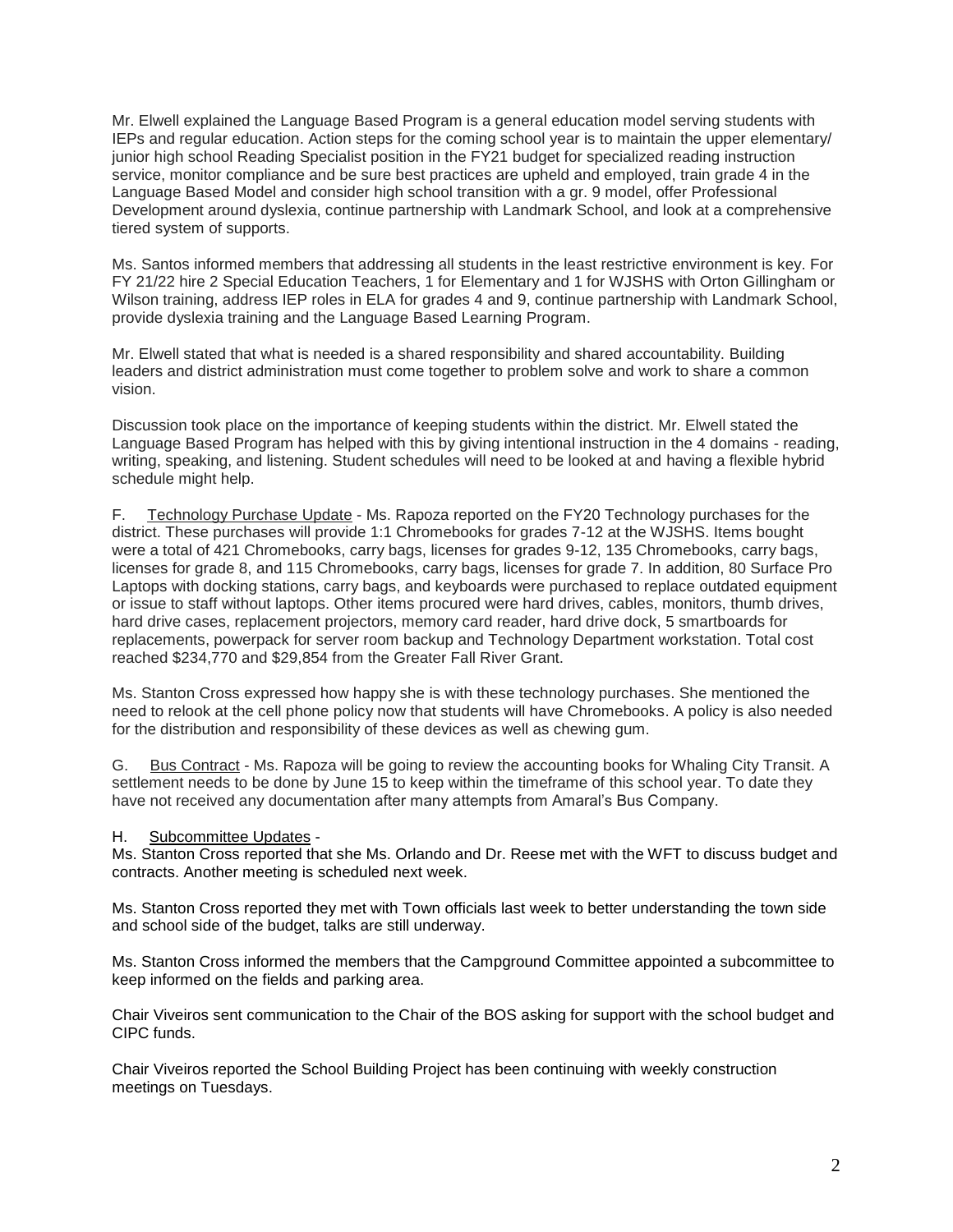Mr. Elwell explained the Language Based Program is a general education model serving students with IEPs and regular education. Action steps for the coming school year is to maintain the upper elementary/ junior high school Reading Specialist position in the FY21 budget for specialized reading instruction service, monitor compliance and be sure best practices are upheld and employed, train grade 4 in the Language Based Model and consider high school transition with a gr. 9 model, offer Professional Development around dyslexia, continue partnership with Landmark School, and look at a comprehensive tiered system of supports.

Ms. Santos informed members that addressing all students in the least restrictive environment is key. For FY 21/22 hire 2 Special Education Teachers, 1 for Elementary and 1 for WJSHS with Orton Gillingham or Wilson training, address IEP roles in ELA for grades 4 and 9, continue partnership with Landmark School, provide dyslexia training and the Language Based Learning Program.

Mr. Elwell stated that what is needed is a shared responsibility and shared accountability. Building leaders and district administration must come together to problem solve and work to share a common vision.

Discussion took place on the importance of keeping students within the district. Mr. Elwell stated the Language Based Program has helped with this by giving intentional instruction in the 4 domains - reading, writing, speaking, and listening. Student schedules will need to be looked at and having a flexible hybrid schedule might help.

F. Technology Purchase Update - Ms. Rapoza reported on the FY20 Technology purchases for the district. These purchases will provide 1:1 Chromebooks for grades 7-12 at the WJSHS. Items bought were a total of 421 Chromebooks, carry bags, licenses for grades 9-12, 135 Chromebooks, carry bags, licenses for grade 8, and 115 Chromebooks, carry bags, licenses for grade 7. In addition, 80 Surface Pro Laptops with docking stations, carry bags, and keyboards were purchased to replace outdated equipment or issue to staff without laptops. Other items procured were hard drives, cables, monitors, thumb drives, hard drive cases, replacement projectors, memory card reader, hard drive dock, 5 smartboards for replacements, powerpack for server room backup and Technology Department workstation. Total cost reached \$234,770 and \$29,854 from the Greater Fall River Grant.

Ms. Stanton Cross expressed how happy she is with these technology purchases. She mentioned the need to relook at the cell phone policy now that students will have Chromebooks. A policy is also needed for the distribution and responsibility of these devices as well as chewing gum.

G. Bus Contract - Ms. Rapoza will be going to review the accounting books for Whaling City Transit. A settlement needs to be done by June 15 to keep within the timeframe of this school year. To date they have not received any documentation after many attempts from Amaral's Bus Company.

#### H. Subcommittee Updates -

Ms. Stanton Cross reported that she Ms. Orlando and Dr. Reese met with the WFT to discuss budget and contracts. Another meeting is scheduled next week.

Ms. Stanton Cross reported they met with Town officials last week to better understanding the town side and school side of the budget, talks are still underway.

Ms. Stanton Cross informed the members that the Campground Committee appointed a subcommittee to keep informed on the fields and parking area.

Chair Viveiros sent communication to the Chair of the BOS asking for support with the school budget and CIPC funds.

Chair Viveiros reported the School Building Project has been continuing with weekly construction meetings on Tuesdays.